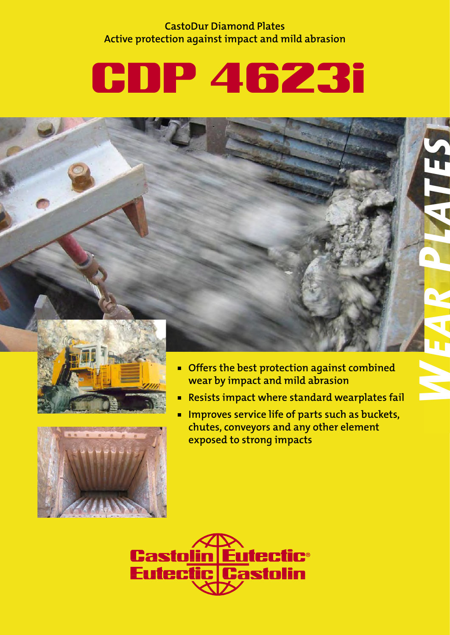**CastoDur Diamond Plates Active protection against impact and mild abrasion**

# CDP 4623i





**Offers the best protection against combined wear by impact and mild abrasion**

*WEAR* 

*PL ATES*

- **Resists impact where standard wearplates fail**
- **IMPROVES SETVICE life of parts such as buckets, chutes, conveyors and any other element exposed to strong impacts**